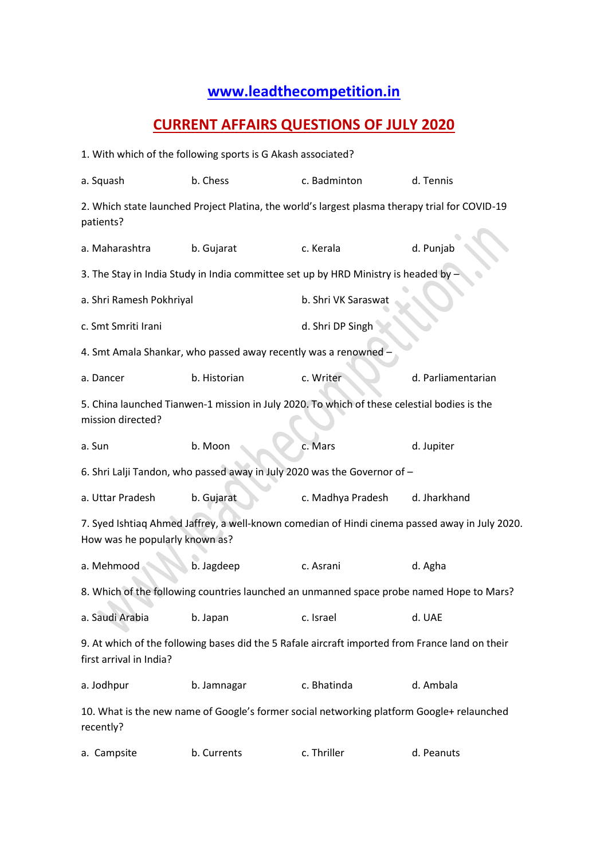## **[www.leadthecompetition.in](http://www.leadthecompetition.in/)**

## **CURRENT AFFAIRS QUESTIONS OF JULY 2020**

| 1. With which of the following sports is G Akash associated?                                                                     |                                                                                                |                     |                    |  |  |  |  |
|----------------------------------------------------------------------------------------------------------------------------------|------------------------------------------------------------------------------------------------|---------------------|--------------------|--|--|--|--|
| a. Squash                                                                                                                        | b. Chess                                                                                       | c. Badminton        | d. Tennis          |  |  |  |  |
| patients?                                                                                                                        | 2. Which state launched Project Platina, the world's largest plasma therapy trial for COVID-19 |                     |                    |  |  |  |  |
| a. Maharashtra                                                                                                                   | b. Gujarat                                                                                     | c. Kerala           | d. Punjab          |  |  |  |  |
|                                                                                                                                  | 3. The Stay in India Study in India committee set up by HRD Ministry is headed by              |                     |                    |  |  |  |  |
| a. Shri Ramesh Pokhriyal                                                                                                         |                                                                                                | b. Shri VK Saraswat |                    |  |  |  |  |
| c. Smt Smriti Irani                                                                                                              |                                                                                                | d. Shri DP Singh    |                    |  |  |  |  |
| 4. Smt Amala Shankar, who passed away recently was a renowned                                                                    |                                                                                                |                     |                    |  |  |  |  |
| a. Dancer                                                                                                                        | b. Historian                                                                                   | c. Writer           | d. Parliamentarian |  |  |  |  |
| 5. China launched Tianwen-1 mission in July 2020. To which of these celestial bodies is the<br>mission directed?                 |                                                                                                |                     |                    |  |  |  |  |
| a. Sun                                                                                                                           | b. Moon                                                                                        | c. Mars             | d. Jupiter         |  |  |  |  |
| 6. Shri Lalji Tandon, who passed away in July 2020 was the Governor of -                                                         |                                                                                                |                     |                    |  |  |  |  |
| a. Uttar Pradesh                                                                                                                 | b. Gujarat                                                                                     | c. Madhya Pradesh   | d. Jharkhand       |  |  |  |  |
| 7. Syed Ishtiaq Ahmed Jaffrey, a well-known comedian of Hindi cinema passed away in July 2020.<br>How was he popularly known as? |                                                                                                |                     |                    |  |  |  |  |
| a. Mehmood                                                                                                                       | b. Jagdeep                                                                                     | c. Asrani           | d. Agha            |  |  |  |  |
|                                                                                                                                  | 8. Which of the following countries launched an unmanned space probe named Hope to Mars?       |                     |                    |  |  |  |  |
| a. Saudi Arabia                                                                                                                  | b. Japan                                                                                       | c. Israel           | d. UAE             |  |  |  |  |
| 9. At which of the following bases did the 5 Rafale aircraft imported from France land on their<br>first arrival in India?       |                                                                                                |                     |                    |  |  |  |  |
| a. Jodhpur                                                                                                                       | b. Jamnagar                                                                                    | c. Bhatinda         | d. Ambala          |  |  |  |  |
| recently?                                                                                                                        | 10. What is the new name of Google's former social networking platform Google+ relaunched      |                     |                    |  |  |  |  |
| a. Campsite                                                                                                                      | b. Currents                                                                                    | c. Thriller         | d. Peanuts         |  |  |  |  |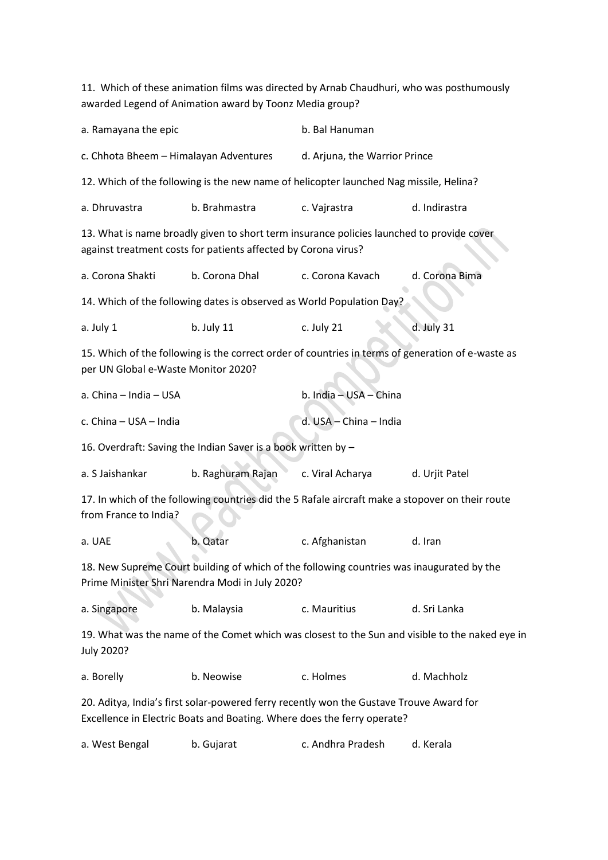11. Which of these animation films was directed by Arnab Chaudhuri, who was posthumously awarded Legend of Animation award by Toonz Media group?

| a. Ramayana the epic                                                                                                                                               |                                                                                                  | b. Bal Hanuman                |                                                                                                 |  |  |  |  |
|--------------------------------------------------------------------------------------------------------------------------------------------------------------------|--------------------------------------------------------------------------------------------------|-------------------------------|-------------------------------------------------------------------------------------------------|--|--|--|--|
| c. Chhota Bheem - Himalayan Adventures                                                                                                                             |                                                                                                  | d. Arjuna, the Warrior Prince |                                                                                                 |  |  |  |  |
|                                                                                                                                                                    | 12. Which of the following is the new name of helicopter launched Nag missile, Helina?           |                               |                                                                                                 |  |  |  |  |
| a. Dhruvastra                                                                                                                                                      | b. Brahmastra                                                                                    |                               | d. Indirastra                                                                                   |  |  |  |  |
| 13. What is name broadly given to short term insurance policies launched to provide cover<br>against treatment costs for patients affected by Corona virus?        |                                                                                                  |                               |                                                                                                 |  |  |  |  |
| a. Corona Shakti                                                                                                                                                   | b. Corona Dhal                                                                                   | c. Corona Kavach              | d. Corona Bima                                                                                  |  |  |  |  |
| 14. Which of the following dates is observed as World Population Day?                                                                                              |                                                                                                  |                               |                                                                                                 |  |  |  |  |
| a. July 1                                                                                                                                                          | $b.$ July 11                                                                                     | c. July 21                    | d. July 31                                                                                      |  |  |  |  |
| 15. Which of the following is the correct order of countries in terms of generation of e-waste as<br>per UN Global e-Waste Monitor 2020?                           |                                                                                                  |                               |                                                                                                 |  |  |  |  |
| a. China - India - USA                                                                                                                                             |                                                                                                  | b. India - USA - China        |                                                                                                 |  |  |  |  |
| c. China - USA - India                                                                                                                                             |                                                                                                  | d. USA - China - India        |                                                                                                 |  |  |  |  |
|                                                                                                                                                                    | 16. Overdraft: Saving the Indian Saver is a book written by -                                    |                               |                                                                                                 |  |  |  |  |
| a. S Jaishankar                                                                                                                                                    | b. Raghuram Rajan                                                                                | c. Viral Acharya              | d. Urjit Patel                                                                                  |  |  |  |  |
| from France to India?                                                                                                                                              | 17. In which of the following countries did the 5 Rafale aircraft make a stopover on their route |                               |                                                                                                 |  |  |  |  |
| a. UAE                                                                                                                                                             | b. Qatar                                                                                         | c. Afghanistan                | d. Iran                                                                                         |  |  |  |  |
| 18. New Supreme Court building of which of the following countries was inaugurated by the<br>Prime Minister Shri Narendra Modi in July 2020?                       |                                                                                                  |                               |                                                                                                 |  |  |  |  |
| a. Singapore                                                                                                                                                       | b. Malaysia                                                                                      | c. Mauritius                  | d. Sri Lanka                                                                                    |  |  |  |  |
| July 2020?                                                                                                                                                         |                                                                                                  |                               | 19. What was the name of the Comet which was closest to the Sun and visible to the naked eye in |  |  |  |  |
| a. Borelly                                                                                                                                                         | b. Neowise                                                                                       | c. Holmes                     | d. Machholz                                                                                     |  |  |  |  |
| 20. Aditya, India's first solar-powered ferry recently won the Gustave Trouve Award for<br>Excellence in Electric Boats and Boating. Where does the ferry operate? |                                                                                                  |                               |                                                                                                 |  |  |  |  |
| a. West Bengal                                                                                                                                                     | b. Gujarat                                                                                       | c. Andhra Pradesh             | d. Kerala                                                                                       |  |  |  |  |